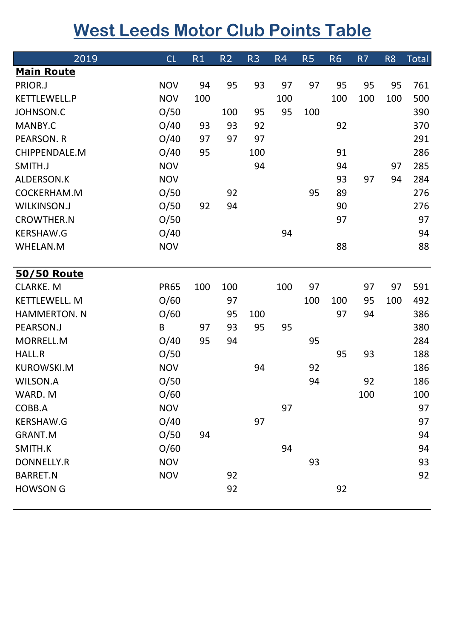## **West Leeds Motor Club Points Table**

| 2019                           | CL          | R1  | R <sub>2</sub> | R <sub>3</sub> | R <sub>4</sub> | R <sub>5</sub> | <b>R6</b> | R7  | R <sub>8</sub> | <b>Total</b> |
|--------------------------------|-------------|-----|----------------|----------------|----------------|----------------|-----------|-----|----------------|--------------|
| <b>Main Route</b>              |             |     |                |                |                |                |           |     |                |              |
| PRIOR.J                        | <b>NOV</b>  | 94  | 95             | 93             | 97             | 97             | 95        | 95  | 95             | 761          |
| KETTLEWELL.P                   | <b>NOV</b>  | 100 |                |                | 100            |                | 100       | 100 | 100            | 500          |
| <b>JOHNSON.C</b>               | O/50        |     | 100            | 95             | 95             | 100            |           |     |                | 390          |
| MANBY.C                        | O/40        | 93  | 93             | 92             |                |                | 92        |     |                | 370          |
| <b>PEARSON. R</b>              | O/40        | 97  | 97             | 97             |                |                |           |     |                | 291          |
| CHIPPENDALE.M                  | O/40        | 95  |                | 100            |                |                | 91        |     |                | 286          |
| SMITH.J                        | <b>NOV</b>  |     |                | 94             |                |                | 94        |     | 97             | 285          |
| ALDERSON.K                     | <b>NOV</b>  |     |                |                |                |                | 93        | 97  | 94             | 284          |
| COCKERHAM.M                    | O/50        |     | 92             |                |                | 95             | 89        |     |                | 276          |
| <b>WILKINSON.J</b>             | O/50        | 92  | 94             |                |                |                | 90        |     |                | 276          |
| <b>CROWTHER.N</b>              | O/50        |     |                |                |                |                | 97        |     |                | 97           |
| <b>KERSHAW.G</b>               | O/40        |     |                |                | 94             |                |           |     |                | 94           |
| <b>WHELAN.M</b>                | <b>NOV</b>  |     |                |                |                |                | 88        |     |                | 88           |
|                                |             |     |                |                |                |                |           |     |                |              |
| 50/50 Route<br><b>CLARKE.M</b> |             |     |                |                |                |                |           |     |                |              |
|                                | <b>PR65</b> | 100 | 100            |                | 100            | 97             |           | 97  | 97             | 591          |
| <b>KETTLEWELL. M</b>           | O/60        |     | 97             |                |                | 100            | 100       | 95  | 100            | 492          |
| <b>HAMMERTON. N</b>            | O/60        |     | 95             | 100            |                |                | 97        | 94  |                | 386          |
| PEARSON.J                      | B           | 97  | 93             | 95             | 95             |                |           |     |                | 380          |
| MORRELL.M                      | O/40        | 95  | 94             |                |                | 95             |           |     |                | 284          |
| <b>HALL.R</b>                  | O/50        |     |                |                |                |                | 95        | 93  |                | 188          |
| <b>KUROWSKI.M</b>              | <b>NOV</b>  |     |                | 94             |                | 92             |           |     |                | 186          |
| <b>WILSON.A</b>                | O/50        |     |                |                |                | 94             |           | 92  |                | 186          |
| WARD. M                        | O/60        |     |                |                |                |                |           | 100 |                | 100          |
| COBB.A                         | <b>NOV</b>  |     |                |                | 97             |                |           |     |                | 97           |
| <b>KERSHAW.G</b>               | O/40        |     |                | 97             |                |                |           |     |                | 97           |
| <b>GRANT.M</b>                 | O/50        | 94  |                |                |                |                |           |     |                | 94           |
| SMITH.K                        | O/60        |     |                |                | 94             |                |           |     |                | 94           |
| <b>DONNELLY.R</b>              | <b>NOV</b>  |     |                |                |                | 93             |           |     |                | 93           |
| <b>BARRET.N</b>                | <b>NOV</b>  |     | 92             |                |                |                |           |     |                | 92           |
| <b>HOWSON G</b>                |             |     | 92             |                |                |                | 92        |     |                |              |
|                                |             |     |                |                |                |                |           |     |                |              |